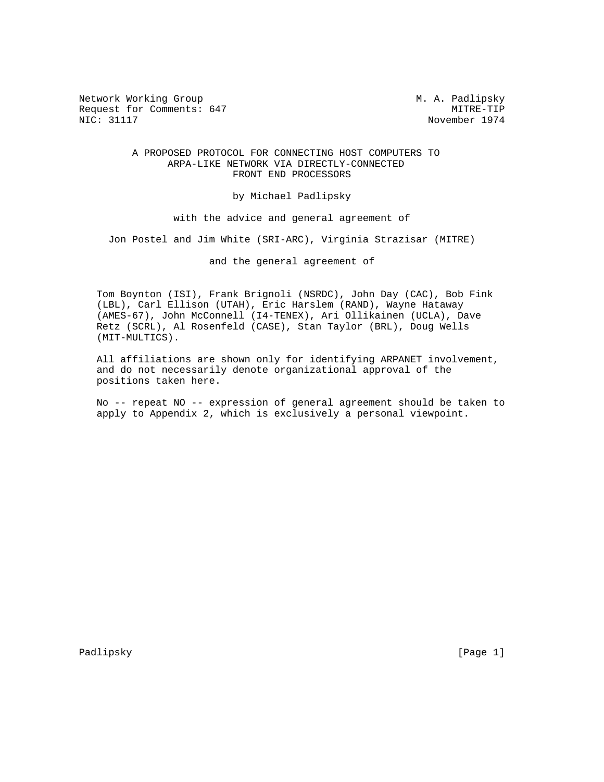Network Working Group Metwork Working Group Metwork Metwork Metalson Request for Comments: 647 MITRE-TIP<br>NIC: 31117 Movember 1974

November 1974

## A PROPOSED PROTOCOL FOR CONNECTING HOST COMPUTERS TO ARPA-LIKE NETWORK VIA DIRECTLY-CONNECTED FRONT END PROCESSORS

by Michael Padlipsky

with the advice and general agreement of

Jon Postel and Jim White (SRI-ARC), Virginia Strazisar (MITRE)

and the general agreement of

 Tom Boynton (ISI), Frank Brignoli (NSRDC), John Day (CAC), Bob Fink (LBL), Carl Ellison (UTAH), Eric Harslem (RAND), Wayne Hataway (AMES-67), John McConnell (I4-TENEX), Ari Ollikainen (UCLA), Dave Retz (SCRL), Al Rosenfeld (CASE), Stan Taylor (BRL), Doug Wells (MIT-MULTICS).

 All affiliations are shown only for identifying ARPANET involvement, and do not necessarily denote organizational approval of the positions taken here.

 No -- repeat NO -- expression of general agreement should be taken to apply to Appendix 2, which is exclusively a personal viewpoint.

Padlipsky [Page 1]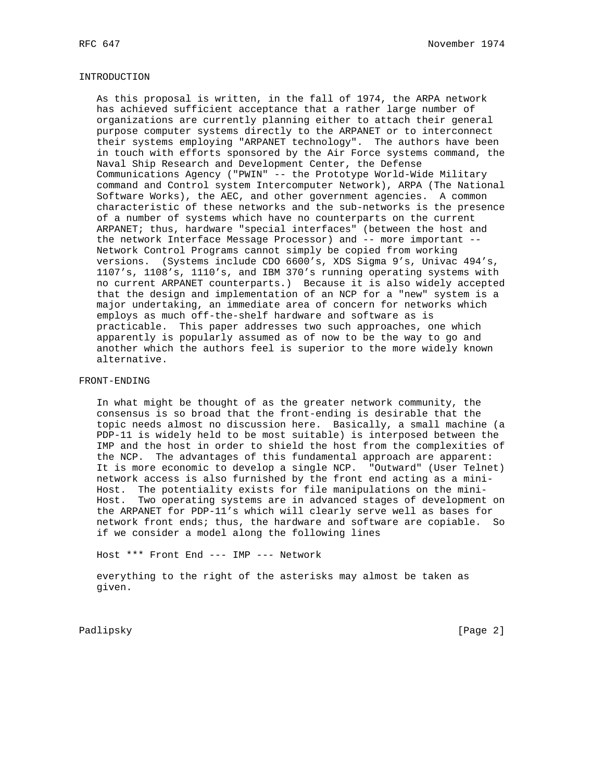## INTRODUCTION

 As this proposal is written, in the fall of 1974, the ARPA network has achieved sufficient acceptance that a rather large number of organizations are currently planning either to attach their general purpose computer systems directly to the ARPANET or to interconnect their systems employing "ARPANET technology". The authors have been in touch with efforts sponsored by the Air Force systems command, the Naval Ship Research and Development Center, the Defense Communications Agency ("PWIN" -- the Prototype World-Wide Military command and Control system Intercomputer Network), ARPA (The National Software Works), the AEC, and other government agencies. A common characteristic of these networks and the sub-networks is the presence of a number of systems which have no counterparts on the current ARPANET; thus, hardware "special interfaces" (between the host and the network Interface Message Processor) and -- more important -- Network Control Programs cannot simply be copied from working versions. (Systems include CDO 6600's, XDS Sigma 9's, Univac 494's, 1107's, 1108's, 1110's, and IBM 370's running operating systems with no current ARPANET counterparts.) Because it is also widely accepted that the design and implementation of an NCP for a "new" system is a major undertaking, an immediate area of concern for networks which employs as much off-the-shelf hardware and software as is practicable. This paper addresses two such approaches, one which apparently is popularly assumed as of now to be the way to go and another which the authors feel is superior to the more widely known alternative.

## FRONT-ENDING

 In what might be thought of as the greater network community, the consensus is so broad that the front-ending is desirable that the topic needs almost no discussion here. Basically, a small machine (a PDP-11 is widely held to be most suitable) is interposed between the IMP and the host in order to shield the host from the complexities of the NCP. The advantages of this fundamental approach are apparent: It is more economic to develop a single NCP. "Outward" (User Telnet) network access is also furnished by the front end acting as a mini- Host. The potentiality exists for file manipulations on the mini- Host. Two operating systems are in advanced stages of development on the ARPANET for PDP-11's which will clearly serve well as bases for network front ends; thus, the hardware and software are copiable. So if we consider a model along the following lines

Host \*\*\* Front End --- IMP --- Network

 everything to the right of the asterisks may almost be taken as given.

Padlipsky [Page 2]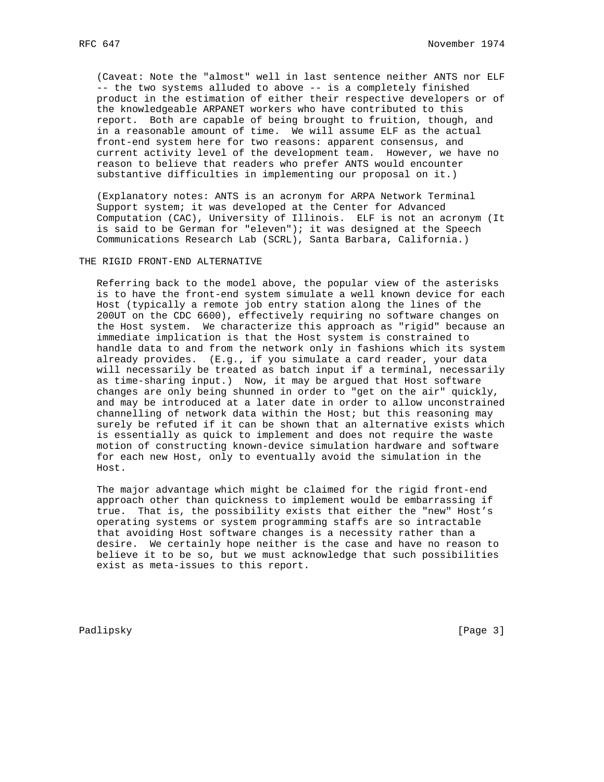(Caveat: Note the "almost" well in last sentence neither ANTS nor ELF -- the two systems alluded to above -- is a completely finished product in the estimation of either their respective developers or of the knowledgeable ARPANET workers who have contributed to this report. Both are capable of being brought to fruition, though, and in a reasonable amount of time. We will assume ELF as the actual front-end system here for two reasons: apparent consensus, and current activity level of the development team. However, we have no reason to believe that readers who prefer ANTS would encounter substantive difficulties in implementing our proposal on it.)

 (Explanatory notes: ANTS is an acronym for ARPA Network Terminal Support system; it was developed at the Center for Advanced Computation (CAC), University of Illinois. ELF is not an acronym (It is said to be German for "eleven"); it was designed at the Speech Communications Research Lab (SCRL), Santa Barbara, California.)

THE RIGID FRONT-END ALTERNATIVE

 Referring back to the model above, the popular view of the asterisks is to have the front-end system simulate a well known device for each Host (typically a remote job entry station along the lines of the 200UT on the CDC 6600), effectively requiring no software changes on the Host system. We characterize this approach as "rigid" because an immediate implication is that the Host system is constrained to handle data to and from the network only in fashions which its system already provides. (E.g., if you simulate a card reader, your data will necessarily be treated as batch input if a terminal, necessarily as time-sharing input.) Now, it may be argued that Host software changes are only being shunned in order to "get on the air" quickly, and may be introduced at a later date in order to allow unconstrained channelling of network data within the Host; but this reasoning may surely be refuted if it can be shown that an alternative exists which is essentially as quick to implement and does not require the waste motion of constructing known-device simulation hardware and software for each new Host, only to eventually avoid the simulation in the Host.

 The major advantage which might be claimed for the rigid front-end approach other than quickness to implement would be embarrassing if true. That is, the possibility exists that either the "new" Host's operating systems or system programming staffs are so intractable that avoiding Host software changes is a necessity rather than a desire. We certainly hope neither is the case and have no reason to believe it to be so, but we must acknowledge that such possibilities exist as meta-issues to this report.

Padlipsky [Page 3]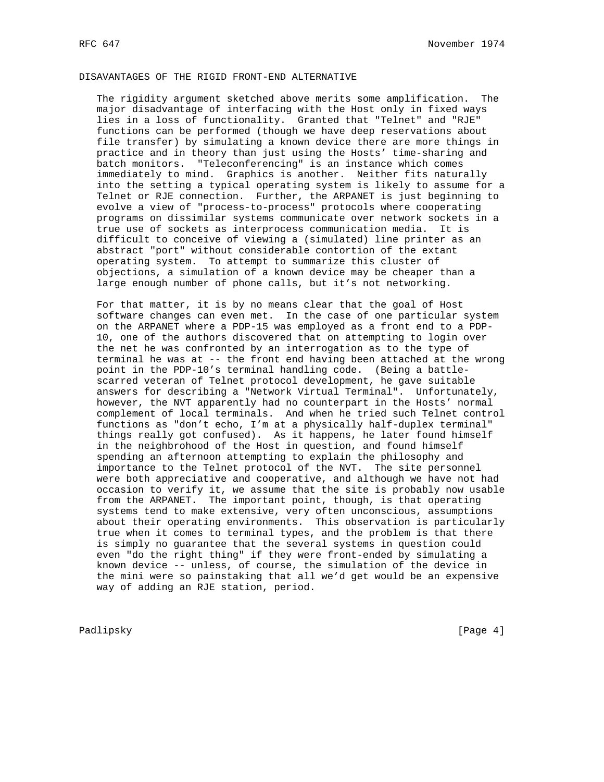# DISAVANTAGES OF THE RIGID FRONT-END ALTERNATIVE

 The rigidity argument sketched above merits some amplification. The major disadvantage of interfacing with the Host only in fixed ways lies in a loss of functionality. Granted that "Telnet" and "RJE" functions can be performed (though we have deep reservations about file transfer) by simulating a known device there are more things in practice and in theory than just using the Hosts' time-sharing and batch monitors. "Teleconferencing" is an instance which comes immediately to mind. Graphics is another. Neither fits naturally into the setting a typical operating system is likely to assume for a Telnet or RJE connection. Further, the ARPANET is just beginning to evolve a view of "process-to-process" protocols where cooperating programs on dissimilar systems communicate over network sockets in a true use of sockets as interprocess communication media. It is difficult to conceive of viewing a (simulated) line printer as an abstract "port" without considerable contortion of the extant operating system. To attempt to summarize this cluster of objections, a simulation of a known device may be cheaper than a large enough number of phone calls, but it's not networking.

 For that matter, it is by no means clear that the goal of Host software changes can even met. In the case of one particular system on the ARPANET where a PDP-15 was employed as a front end to a PDP- 10, one of the authors discovered that on attempting to login over the net he was confronted by an interrogation as to the type of terminal he was at -- the front end having been attached at the wrong point in the PDP-10's terminal handling code. (Being a battle scarred veteran of Telnet protocol development, he gave suitable answers for describing a "Network Virtual Terminal". Unfortunately, however, the NVT apparently had no counterpart in the Hosts' normal complement of local terminals. And when he tried such Telnet control functions as "don't echo, I'm at a physically half-duplex terminal" things really got confused). As it happens, he later found himself in the neighbrohood of the Host in question, and found himself spending an afternoon attempting to explain the philosophy and importance to the Telnet protocol of the NVT. The site personnel were both appreciative and cooperative, and although we have not had occasion to verify it, we assume that the site is probably now usable from the ARPANET. The important point, though, is that operating systems tend to make extensive, very often unconscious, assumptions about their operating environments. This observation is particularly true when it comes to terminal types, and the problem is that there is simply no guarantee that the several systems in question could even "do the right thing" if they were front-ended by simulating a known device -- unless, of course, the simulation of the device in the mini were so painstaking that all we'd get would be an expensive way of adding an RJE station, period.

Padlipsky [Page 4]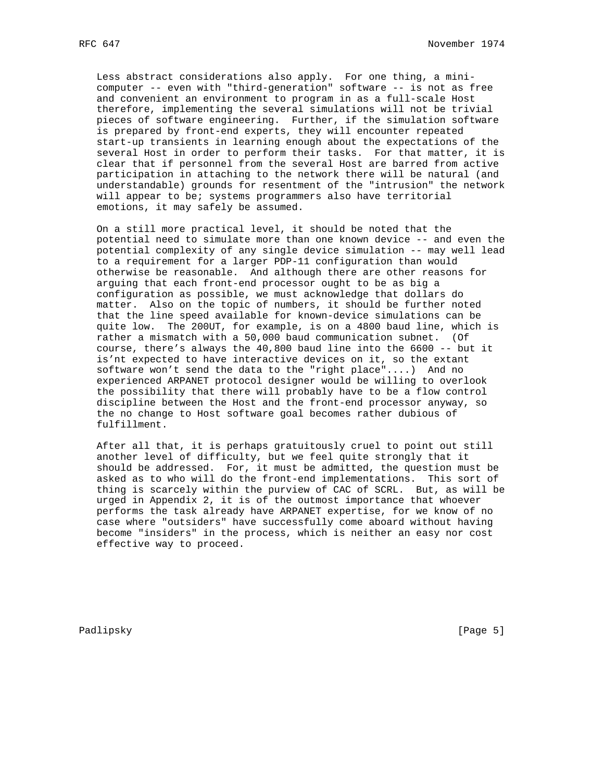Less abstract considerations also apply. For one thing, a mini computer -- even with "third-generation" software -- is not as free and convenient an environment to program in as a full-scale Host therefore, implementing the several simulations will not be trivial pieces of software engineering. Further, if the simulation software is prepared by front-end experts, they will encounter repeated start-up transients in learning enough about the expectations of the several Host in order to perform their tasks. For that matter, it is clear that if personnel from the several Host are barred from active participation in attaching to the network there will be natural (and understandable) grounds for resentment of the "intrusion" the network will appear to be; systems programmers also have territorial emotions, it may safely be assumed.

 On a still more practical level, it should be noted that the potential need to simulate more than one known device -- and even the potential complexity of any single device simulation -- may well lead to a requirement for a larger PDP-11 configuration than would otherwise be reasonable. And although there are other reasons for arguing that each front-end processor ought to be as big a configuration as possible, we must acknowledge that dollars do matter. Also on the topic of numbers, it should be further noted that the line speed available for known-device simulations can be quite low. The 200UT, for example, is on a 4800 baud line, which is rather a mismatch with a 50,000 baud communication subnet. (Of course, there's always the 40,800 baud line into the 6600 -- but it is'nt expected to have interactive devices on it, so the extant software won't send the data to the "right place"....) And no experienced ARPANET protocol designer would be willing to overlook the possibility that there will probably have to be a flow control discipline between the Host and the front-end processor anyway, so the no change to Host software goal becomes rather dubious of fulfillment.

 After all that, it is perhaps gratuitously cruel to point out still another level of difficulty, but we feel quite strongly that it should be addressed. For, it must be admitted, the question must be asked as to who will do the front-end implementations. This sort of thing is scarcely within the purview of CAC of SCRL. But, as will be urged in Appendix 2, it is of the outmost importance that whoever performs the task already have ARPANET expertise, for we know of no case where "outsiders" have successfully come aboard without having become "insiders" in the process, which is neither an easy nor cost effective way to proceed.

Padlipsky [Page 5]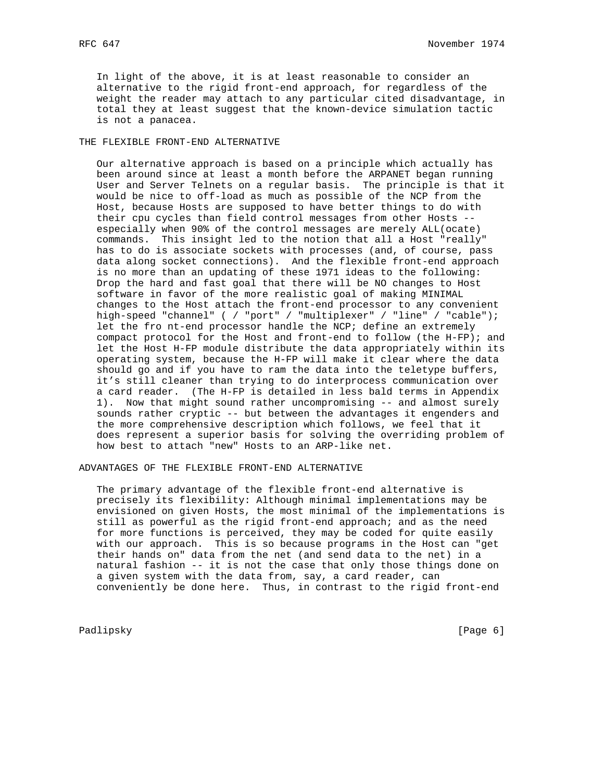In light of the above, it is at least reasonable to consider an alternative to the rigid front-end approach, for regardless of the weight the reader may attach to any particular cited disadvantage, in total they at least suggest that the known-device simulation tactic is not a panacea.

# THE FLEXIBLE FRONT-END ALTERNATIVE

 Our alternative approach is based on a principle which actually has been around since at least a month before the ARPANET began running User and Server Telnets on a regular basis. The principle is that it would be nice to off-load as much as possible of the NCP from the Host, because Hosts are supposed to have better things to do with their cpu cycles than field control messages from other Hosts - especially when 90% of the control messages are merely ALL(ocate) commands. This insight led to the notion that all a Host "really" has to do is associate sockets with processes (and, of course, pass data along socket connections). And the flexible front-end approach is no more than an updating of these 1971 ideas to the following: Drop the hard and fast goal that there will be NO changes to Host software in favor of the more realistic goal of making MINIMAL changes to the Host attach the front-end processor to any convenient high-speed "channel" ( / "port" / "multiplexer" / "line" / "cable"); let the fro nt-end processor handle the NCP; define an extremely compact protocol for the Host and front-end to follow (the H-FP); and let the Host H-FP module distribute the data appropriately within its operating system, because the H-FP will make it clear where the data should go and if you have to ram the data into the teletype buffers, it's still cleaner than trying to do interprocess communication over a card reader. (The H-FP is detailed in less bald terms in Appendix 1). Now that might sound rather uncompromising -- and almost surely sounds rather cryptic -- but between the advantages it engenders and the more comprehensive description which follows, we feel that it does represent a superior basis for solving the overriding problem of how best to attach "new" Hosts to an ARP-like net.

## ADVANTAGES OF THE FLEXIBLE FRONT-END ALTERNATIVE

 The primary advantage of the flexible front-end alternative is precisely its flexibility: Although minimal implementations may be envisioned on given Hosts, the most minimal of the implementations is still as powerful as the rigid front-end approach; and as the need for more functions is perceived, they may be coded for quite easily with our approach. This is so because programs in the Host can "get their hands on" data from the net (and send data to the net) in a natural fashion -- it is not the case that only those things done on a given system with the data from, say, a card reader, can conveniently be done here. Thus, in contrast to the rigid front-end

Padlipsky [Page 6]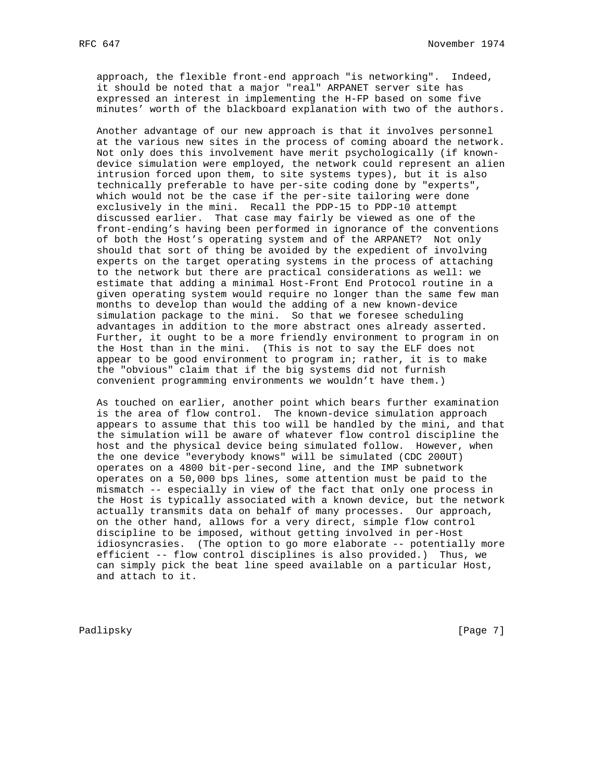approach, the flexible front-end approach "is networking". Indeed, it should be noted that a major "real" ARPANET server site has expressed an interest in implementing the H-FP based on some five minutes' worth of the blackboard explanation with two of the authors.

 Another advantage of our new approach is that it involves personnel at the various new sites in the process of coming aboard the network. Not only does this involvement have merit psychologically (if known device simulation were employed, the network could represent an alien intrusion forced upon them, to site systems types), but it is also technically preferable to have per-site coding done by "experts", which would not be the case if the per-site tailoring were done exclusively in the mini. Recall the PDP-15 to PDP-10 attempt discussed earlier. That case may fairly be viewed as one of the front-ending's having been performed in ignorance of the conventions of both the Host's operating system and of the ARPANET? Not only should that sort of thing be avoided by the expedient of involving experts on the target operating systems in the process of attaching to the network but there are practical considerations as well: we estimate that adding a minimal Host-Front End Protocol routine in a given operating system would require no longer than the same few man months to develop than would the adding of a new known-device simulation package to the mini. So that we foresee scheduling advantages in addition to the more abstract ones already asserted. Further, it ought to be a more friendly environment to program in on the Host than in the mini. (This is not to say the ELF does not appear to be good environment to program in; rather, it is to make the "obvious" claim that if the big systems did not furnish convenient programming environments we wouldn't have them.)

 As touched on earlier, another point which bears further examination is the area of flow control. The known-device simulation approach appears to assume that this too will be handled by the mini, and that the simulation will be aware of whatever flow control discipline the host and the physical device being simulated follow. However, when the one device "everybody knows" will be simulated (CDC 200UT) operates on a 4800 bit-per-second line, and the IMP subnetwork operates on a 50,000 bps lines, some attention must be paid to the mismatch -- especially in view of the fact that only one process in the Host is typically associated with a known device, but the network actually transmits data on behalf of many processes. Our approach, on the other hand, allows for a very direct, simple flow control discipline to be imposed, without getting involved in per-Host idiosyncrasies. (The option to go more elaborate -- potentially more efficient -- flow control disciplines is also provided.) Thus, we can simply pick the beat line speed available on a particular Host, and attach to it.

Padlipsky [Page 7]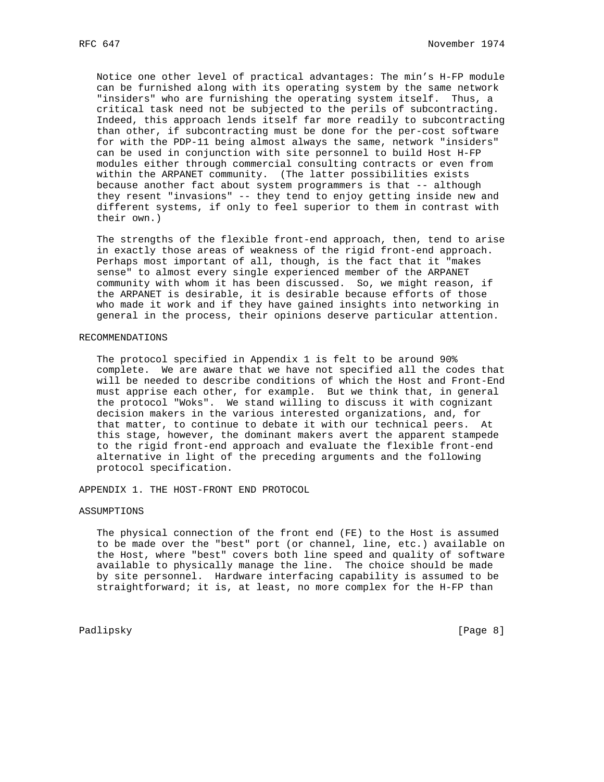Notice one other level of practical advantages: The min's H-FP module can be furnished along with its operating system by the same network "insiders" who are furnishing the operating system itself. Thus, a critical task need not be subjected to the perils of subcontracting. Indeed, this approach lends itself far more readily to subcontracting than other, if subcontracting must be done for the per-cost software for with the PDP-11 being almost always the same, network "insiders" can be used in conjunction with site personnel to build Host H-FP modules either through commercial consulting contracts or even from within the ARPANET community. (The latter possibilities exists because another fact about system programmers is that -- although they resent "invasions" -- they tend to enjoy getting inside new and different systems, if only to feel superior to them in contrast with their own.)

 The strengths of the flexible front-end approach, then, tend to arise in exactly those areas of weakness of the rigid front-end approach. Perhaps most important of all, though, is the fact that it "makes sense" to almost every single experienced member of the ARPANET community with whom it has been discussed. So, we might reason, if the ARPANET is desirable, it is desirable because efforts of those who made it work and if they have gained insights into networking in general in the process, their opinions deserve particular attention.

## RECOMMENDATIONS

 The protocol specified in Appendix 1 is felt to be around 90% complete. We are aware that we have not specified all the codes that will be needed to describe conditions of which the Host and Front-End must apprise each other, for example. But we think that, in general the protocol "Woks". We stand willing to discuss it with cognizant decision makers in the various interested organizations, and, for that matter, to continue to debate it with our technical peers. At this stage, however, the dominant makers avert the apparent stampede to the rigid front-end approach and evaluate the flexible front-end alternative in light of the preceding arguments and the following protocol specification.

APPENDIX 1. THE HOST-FRONT END PROTOCOL

## ASSUMPTIONS

 The physical connection of the front end (FE) to the Host is assumed to be made over the "best" port (or channel, line, etc.) available on the Host, where "best" covers both line speed and quality of software available to physically manage the line. The choice should be made by site personnel. Hardware interfacing capability is assumed to be straightforward; it is, at least, no more complex for the H-FP than

Padlipsky [Page 8]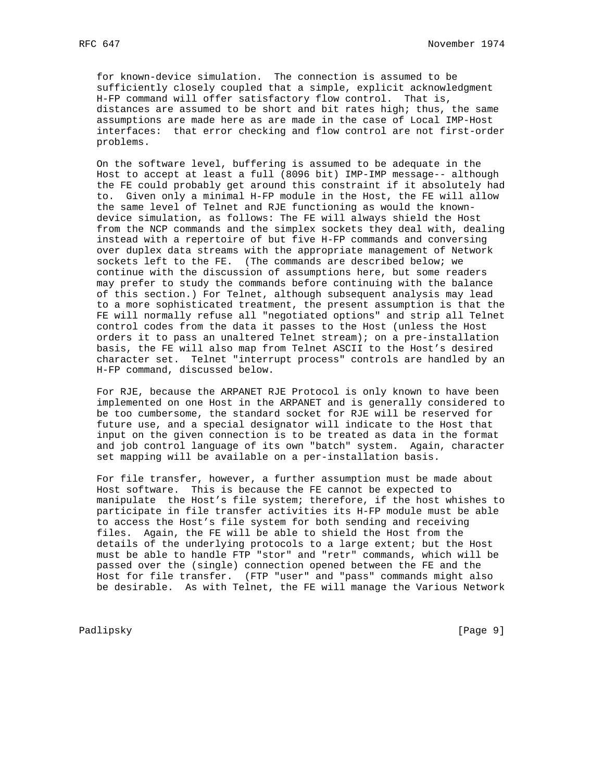for known-device simulation. The connection is assumed to be sufficiently closely coupled that a simple, explicit acknowledgment H-FP command will offer satisfactory flow control. That is, distances are assumed to be short and bit rates high; thus, the same assumptions are made here as are made in the case of Local IMP-Host interfaces: that error checking and flow control are not first-order problems.

 On the software level, buffering is assumed to be adequate in the Host to accept at least a full (8096 bit) IMP-IMP message-- although the FE could probably get around this constraint if it absolutely had to. Given only a minimal H-FP module in the Host, the FE will allow the same level of Telnet and RJE functioning as would the known device simulation, as follows: The FE will always shield the Host from the NCP commands and the simplex sockets they deal with, dealing instead with a repertoire of but five H-FP commands and conversing over duplex data streams with the appropriate management of Network sockets left to the FE. (The commands are described below; we continue with the discussion of assumptions here, but some readers may prefer to study the commands before continuing with the balance of this section.) For Telnet, although subsequent analysis may lead to a more sophisticated treatment, the present assumption is that the FE will normally refuse all "negotiated options" and strip all Telnet control codes from the data it passes to the Host (unless the Host orders it to pass an unaltered Telnet stream); on a pre-installation basis, the FE will also map from Telnet ASCII to the Host's desired character set. Telnet "interrupt process" controls are handled by an H-FP command, discussed below.

 For RJE, because the ARPANET RJE Protocol is only known to have been implemented on one Host in the ARPANET and is generally considered to be too cumbersome, the standard socket for RJE will be reserved for future use, and a special designator will indicate to the Host that input on the given connection is to be treated as data in the format and job control language of its own "batch" system. Again, character set mapping will be available on a per-installation basis.

 For file transfer, however, a further assumption must be made about Host software. This is because the FE cannot be expected to manipulate the Host's file system; therefore, if the host whishes to participate in file transfer activities its H-FP module must be able to access the Host's file system for both sending and receiving files. Again, the FE will be able to shield the Host from the details of the underlying protocols to a large extent; but the Host must be able to handle FTP "stor" and "retr" commands, which will be passed over the (single) connection opened between the FE and the Host for file transfer. (FTP "user" and "pass" commands might also be desirable. As with Telnet, the FE will manage the Various Network

Padlipsky [Page 9]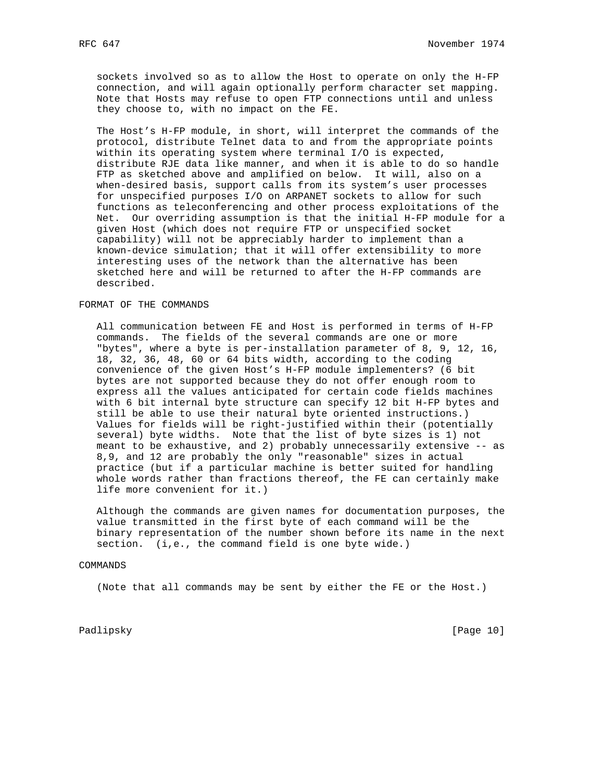sockets involved so as to allow the Host to operate on only the H-FP connection, and will again optionally perform character set mapping. Note that Hosts may refuse to open FTP connections until and unless they choose to, with no impact on the FE.

 The Host's H-FP module, in short, will interpret the commands of the protocol, distribute Telnet data to and from the appropriate points within its operating system where terminal I/O is expected, distribute RJE data like manner, and when it is able to do so handle FTP as sketched above and amplified on below. It will, also on a when-desired basis, support calls from its system's user processes for unspecified purposes I/O on ARPANET sockets to allow for such functions as teleconferencing and other process exploitations of the Net. Our overriding assumption is that the initial H-FP module for a given Host (which does not require FTP or unspecified socket capability) will not be appreciably harder to implement than a known-device simulation; that it will offer extensibility to more interesting uses of the network than the alternative has been sketched here and will be returned to after the H-FP commands are described.

## FORMAT OF THE COMMANDS

 All communication between FE and Host is performed in terms of H-FP commands. The fields of the several commands are one or more "bytes", where a byte is per-installation parameter of 8, 9, 12, 16, 18, 32, 36, 48, 60 or 64 bits width, according to the coding convenience of the given Host's H-FP module implementers? (6 bit bytes are not supported because they do not offer enough room to express all the values anticipated for certain code fields machines with 6 bit internal byte structure can specify 12 bit H-FP bytes and still be able to use their natural byte oriented instructions.) Values for fields will be right-justified within their (potentially several) byte widths. Note that the list of byte sizes is 1) not meant to be exhaustive, and 2) probably unnecessarily extensive -- as 8,9, and 12 are probably the only "reasonable" sizes in actual practice (but if a particular machine is better suited for handling whole words rather than fractions thereof, the FE can certainly make life more convenient for it.)

 Although the commands are given names for documentation purposes, the value transmitted in the first byte of each command will be the binary representation of the number shown before its name in the next section. (i,e., the command field is one byte wide.)

#### COMMANDS

(Note that all commands may be sent by either the FE or the Host.)

Padlipsky [Page 10]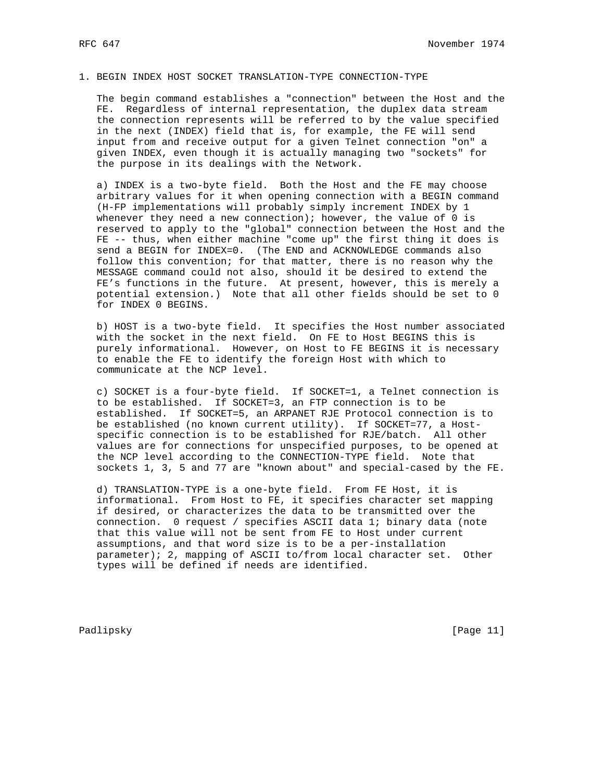## 1. BEGIN INDEX HOST SOCKET TRANSLATION-TYPE CONNECTION-TYPE

 The begin command establishes a "connection" between the Host and the FE. Regardless of internal representation, the duplex data stream the connection represents will be referred to by the value specified in the next (INDEX) field that is, for example, the FE will send input from and receive output for a given Telnet connection "on" a given INDEX, even though it is actually managing two "sockets" for the purpose in its dealings with the Network.

 a) INDEX is a two-byte field. Both the Host and the FE may choose arbitrary values for it when opening connection with a BEGIN command (H-FP implementations will probably simply increment INDEX by 1 whenever they need a new connection); however, the value of  $0$  is reserved to apply to the "global" connection between the Host and the FE -- thus, when either machine "come up" the first thing it does is send a BEGIN for INDEX=0. (The END and ACKNOWLEDGE commands also follow this convention; for that matter, there is no reason why the MESSAGE command could not also, should it be desired to extend the FE's functions in the future. At present, however, this is merely a potential extension.) Note that all other fields should be set to 0 for INDEX 0 BEGINS.

 b) HOST is a two-byte field. It specifies the Host number associated with the socket in the next field. On FE to Host BEGINS this is purely informational. However, on Host to FE BEGINS it is necessary to enable the FE to identify the foreign Host with which to communicate at the NCP level.

 c) SOCKET is a four-byte field. If SOCKET=1, a Telnet connection is to be established. If SOCKET=3, an FTP connection is to be established. If SOCKET=5, an ARPANET RJE Protocol connection is to be established (no known current utility). If SOCKET=77, a Host specific connection is to be established for RJE/batch. All other values are for connections for unspecified purposes, to be opened at the NCP level according to the CONNECTION-TYPE field. Note that sockets 1, 3, 5 and 77 are "known about" and special-cased by the FE.

 d) TRANSLATION-TYPE is a one-byte field. From FE Host, it is informational. From Host to FE, it specifies character set mapping if desired, or characterizes the data to be transmitted over the connection. 0 request / specifies ASCII data 1; binary data (note that this value will not be sent from FE to Host under current assumptions, and that word size is to be a per-installation parameter); 2, mapping of ASCII to/from local character set. Other types will be defined if needs are identified.

Padlipsky [Page 11]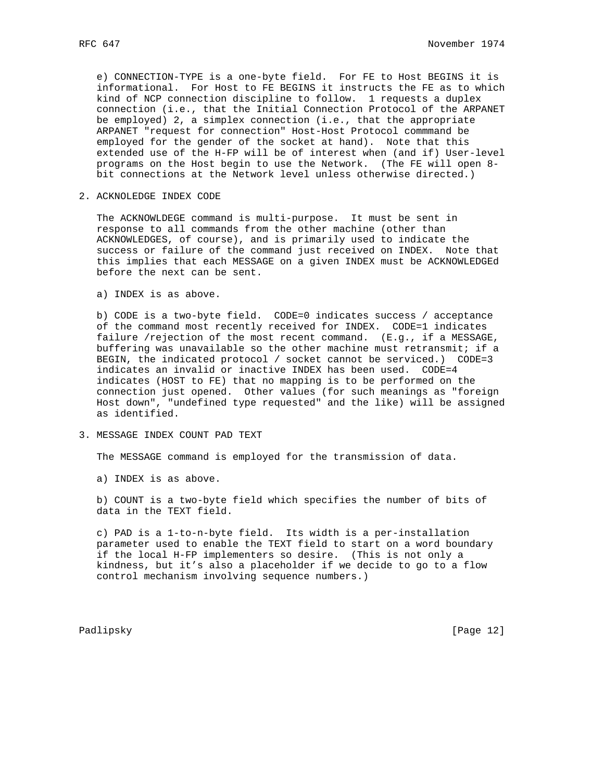e) CONNECTION-TYPE is a one-byte field. For FE to Host BEGINS it is informational. For Host to FE BEGINS it instructs the FE as to which kind of NCP connection discipline to follow. 1 requests a duplex connection (i.e., that the Initial Connection Protocol of the ARPANET be employed) 2, a simplex connection (i.e., that the appropriate ARPANET "request for connection" Host-Host Protocol commmand be employed for the gender of the socket at hand). Note that this extended use of the H-FP will be of interest when (and if) User-level programs on the Host begin to use the Network. (The FE will open 8 bit connections at the Network level unless otherwise directed.)

2. ACKNOLEDGE INDEX CODE

 The ACKNOWLDEGE command is multi-purpose. It must be sent in response to all commands from the other machine (other than ACKNOWLEDGES, of course), and is primarily used to indicate the success or failure of the command just received on INDEX. Note that this implies that each MESSAGE on a given INDEX must be ACKNOWLEDGEd before the next can be sent.

a) INDEX is as above.

 b) CODE is a two-byte field. CODE=0 indicates success / acceptance of the command most recently received for INDEX. CODE=1 indicates failure /rejection of the most recent command. (E.g., if a MESSAGE, buffering was unavailable so the other machine must retransmit; if a BEGIN, the indicated protocol / socket cannot be serviced.) CODE=3 indicates an invalid or inactive INDEX has been used. CODE=4 indicates (HOST to FE) that no mapping is to be performed on the connection just opened. Other values (for such meanings as "foreign Host down", "undefined type requested" and the like) will be assigned as identified.

3. MESSAGE INDEX COUNT PAD TEXT

The MESSAGE command is employed for the transmission of data.

a) INDEX is as above.

 b) COUNT is a two-byte field which specifies the number of bits of data in the TEXT field.

 c) PAD is a 1-to-n-byte field. Its width is a per-installation parameter used to enable the TEXT field to start on a word boundary if the local H-FP implementers so desire. (This is not only a kindness, but it's also a placeholder if we decide to go to a flow control mechanism involving sequence numbers.)

Padlipsky [Page 12]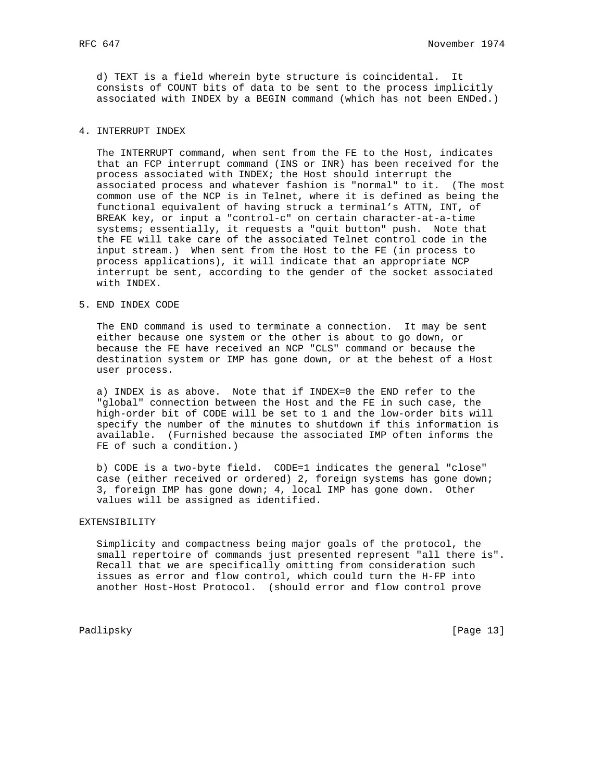d) TEXT is a field wherein byte structure is coincidental. It consists of COUNT bits of data to be sent to the process implicitly associated with INDEX by a BEGIN command (which has not been ENDed.)

## 4. INTERRUPT INDEX

 The INTERRUPT command, when sent from the FE to the Host, indicates that an FCP interrupt command (INS or INR) has been received for the process associated with INDEX; the Host should interrupt the associated process and whatever fashion is "normal" to it. (The most common use of the NCP is in Telnet, where it is defined as being the functional equivalent of having struck a terminal's ATTN, INT, of BREAK key, or input a "control-c" on certain character-at-a-time systems; essentially, it requests a "quit button" push. Note that the FE will take care of the associated Telnet control code in the input stream.) When sent from the Host to the FE (in process to process applications), it will indicate that an appropriate NCP interrupt be sent, according to the gender of the socket associated with INDEX.

5. END INDEX CODE

 The END command is used to terminate a connection. It may be sent either because one system or the other is about to go down, or because the FE have received an NCP "CLS" command or because the destination system or IMP has gone down, or at the behest of a Host user process.

 a) INDEX is as above. Note that if INDEX=0 the END refer to the "global" connection between the Host and the FE in such case, the high-order bit of CODE will be set to 1 and the low-order bits will specify the number of the minutes to shutdown if this information is available. (Furnished because the associated IMP often informs the FE of such a condition.)

 b) CODE is a two-byte field. CODE=1 indicates the general "close" case (either received or ordered) 2, foreign systems has gone down; 3, foreign IMP has gone down; 4, local IMP has gone down. Other values will be assigned as identified.

## EXTENSIBILITY

 Simplicity and compactness being major goals of the protocol, the small repertoire of commands just presented represent "all there is". Recall that we are specifically omitting from consideration such issues as error and flow control, which could turn the H-FP into another Host-Host Protocol. (should error and flow control prove

Padlipsky [Page 13]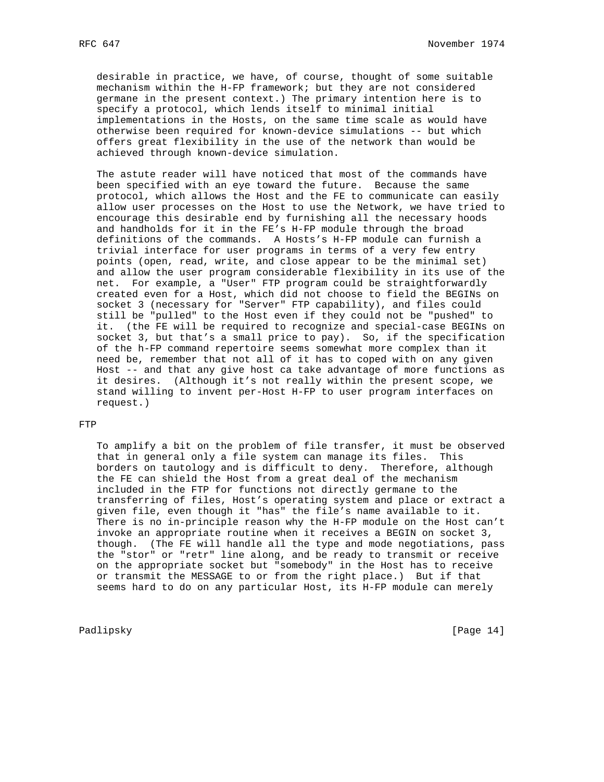desirable in practice, we have, of course, thought of some suitable mechanism within the H-FP framework; but they are not considered germane in the present context.) The primary intention here is to specify a protocol, which lends itself to minimal initial implementations in the Hosts, on the same time scale as would have otherwise been required for known-device simulations -- but which offers great flexibility in the use of the network than would be achieved through known-device simulation.

 The astute reader will have noticed that most of the commands have been specified with an eye toward the future. Because the same protocol, which allows the Host and the FE to communicate can easily allow user processes on the Host to use the Network, we have tried to encourage this desirable end by furnishing all the necessary hoods and handholds for it in the FE's H-FP module through the broad definitions of the commands. A Hosts's H-FP module can furnish a trivial interface for user programs in terms of a very few entry points (open, read, write, and close appear to be the minimal set) and allow the user program considerable flexibility in its use of the net. For example, a "User" FTP program could be straightforwardly created even for a Host, which did not choose to field the BEGINs on socket 3 (necessary for "Server" FTP capability), and files could still be "pulled" to the Host even if they could not be "pushed" to it. (the FE will be required to recognize and special-case BEGINs on socket 3, but that's a small price to pay). So, if the specification of the h-FP command repertoire seems somewhat more complex than it need be, remember that not all of it has to coped with on any given Host -- and that any give host ca take advantage of more functions as it desires. (Although it's not really within the present scope, we stand willing to invent per-Host H-FP to user program interfaces on request.)

## FTP

 To amplify a bit on the problem of file transfer, it must be observed that in general only a file system can manage its files. This borders on tautology and is difficult to deny. Therefore, although the FE can shield the Host from a great deal of the mechanism included in the FTP for functions not directly germane to the transferring of files, Host's operating system and place or extract a given file, even though it "has" the file's name available to it. There is no in-principle reason why the H-FP module on the Host can't invoke an appropriate routine when it receives a BEGIN on socket 3, though. (The FE will handle all the type and mode negotiations, pass the "stor" or "retr" line along, and be ready to transmit or receive on the appropriate socket but "somebody" in the Host has to receive or transmit the MESSAGE to or from the right place.) But if that seems hard to do on any particular Host, its H-FP module can merely

Padlipsky [Page 14]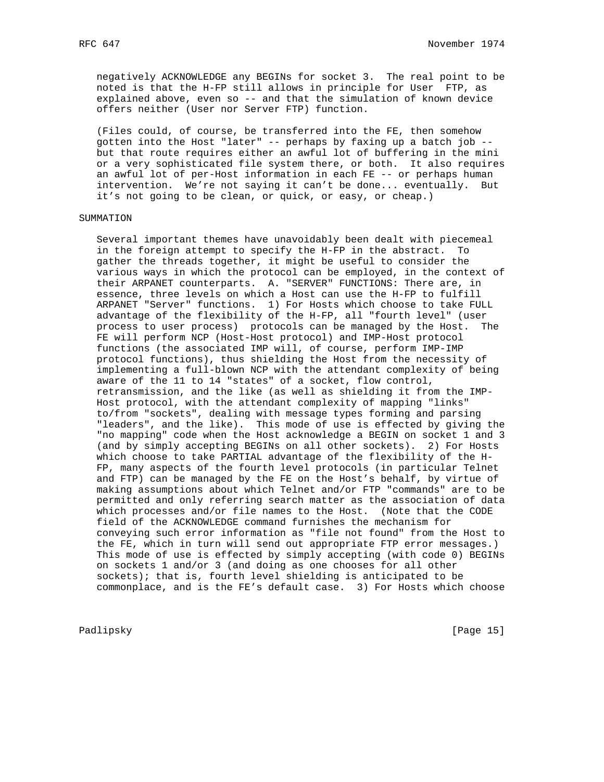negatively ACKNOWLEDGE any BEGINs for socket 3. The real point to be noted is that the H-FP still allows in principle for User FTP, as explained above, even so -- and that the simulation of known device offers neither (User nor Server FTP) function.

 (Files could, of course, be transferred into the FE, then somehow gotten into the Host "later" -- perhaps by faxing up a batch job - but that route requires either an awful lot of buffering in the mini or a very sophisticated file system there, or both. It also requires an awful lot of per-Host information in each FE -- or perhaps human intervention. We're not saying it can't be done... eventually. But it's not going to be clean, or quick, or easy, or cheap.)

## SUMMATION

 Several important themes have unavoidably been dealt with piecemeal in the foreign attempt to specify the H-FP in the abstract. To gather the threads together, it might be useful to consider the various ways in which the protocol can be employed, in the context of their ARPANET counterparts. A. "SERVER" FUNCTIONS: There are, in essence, three levels on which a Host can use the H-FP to fulfill ARPANET "Server" functions. 1) For Hosts which choose to take FULL advantage of the flexibility of the H-FP, all "fourth level" (user process to user process) protocols can be managed by the Host. The FE will perform NCP (Host-Host protocol) and IMP-Host protocol functions (the associated IMP will, of course, perform IMP-IMP protocol functions), thus shielding the Host from the necessity of implementing a full-blown NCP with the attendant complexity of being aware of the 11 to 14 "states" of a socket, flow control, retransmission, and the like (as well as shielding it from the IMP- Host protocol, with the attendant complexity of mapping "links" to/from "sockets", dealing with message types forming and parsing "leaders", and the like). This mode of use is effected by giving the "no mapping" code when the Host acknowledge a BEGIN on socket 1 and 3 (and by simply accepting BEGINs on all other sockets). 2) For Hosts which choose to take PARTIAL advantage of the flexibility of the H- FP, many aspects of the fourth level protocols (in particular Telnet and FTP) can be managed by the FE on the Host's behalf, by virtue of making assumptions about which Telnet and/or FTP "commands" are to be permitted and only referring search matter as the association of data which processes and/or file names to the Host. (Note that the CODE field of the ACKNOWLEDGE command furnishes the mechanism for conveying such error information as "file not found" from the Host to the FE, which in turn will send out appropriate FTP error messages.) This mode of use is effected by simply accepting (with code 0) BEGINs on sockets 1 and/or 3 (and doing as one chooses for all other sockets); that is, fourth level shielding is anticipated to be commonplace, and is the FE's default case. 3) For Hosts which choose

Padlipsky [Page 15]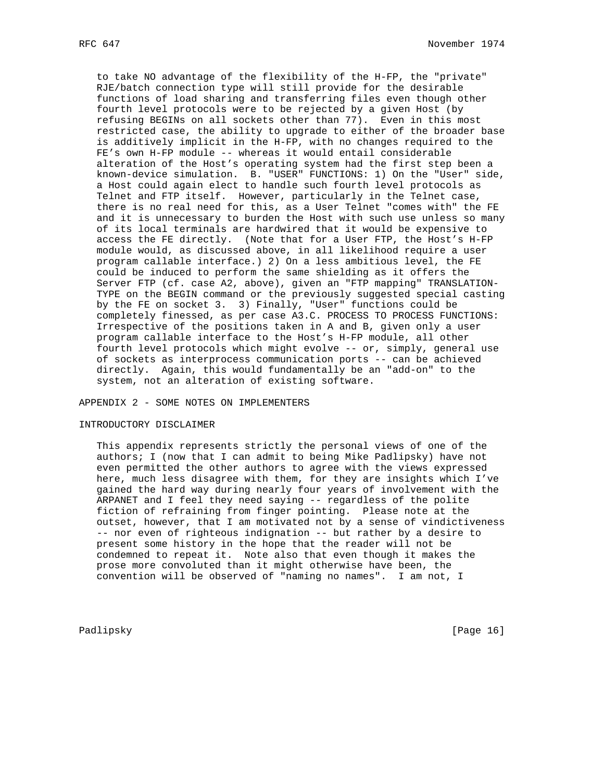to take NO advantage of the flexibility of the H-FP, the "private" RJE/batch connection type will still provide for the desirable functions of load sharing and transferring files even though other fourth level protocols were to be rejected by a given Host (by refusing BEGINs on all sockets other than 77). Even in this most restricted case, the ability to upgrade to either of the broader base is additively implicit in the H-FP, with no changes required to the FE's own H-FP module -- whereas it would entail considerable alteration of the Host's operating system had the first step been a known-device simulation. B. "USER" FUNCTIONS: 1) On the "User" side, a Host could again elect to handle such fourth level protocols as Telnet and FTP itself. However, particularly in the Telnet case, there is no real need for this, as a User Telnet "comes with" the FE and it is unnecessary to burden the Host with such use unless so many of its local terminals are hardwired that it would be expensive to access the FE directly. (Note that for a User FTP, the Host's H-FP module would, as discussed above, in all likelihood require a user program callable interface.) 2) On a less ambitious level, the FE could be induced to perform the same shielding as it offers the Server FTP (cf. case A2, above), given an "FTP mapping" TRANSLATION- TYPE on the BEGIN command or the previously suggested special casting by the FE on socket 3. 3) Finally, "User" functions could be completely finessed, as per case A3.C. PROCESS TO PROCESS FUNCTIONS: Irrespective of the positions taken in A and B, given only a user program callable interface to the Host's H-FP module, all other fourth level protocols which might evolve -- or, simply, general use of sockets as interprocess communication ports -- can be achieved directly. Again, this would fundamentally be an "add-on" to the system, not an alteration of existing software.

APPENDIX 2 - SOME NOTES ON IMPLEMENTERS

#### INTRODUCTORY DISCLAIMER

 This appendix represents strictly the personal views of one of the authors; I (now that I can admit to being Mike Padlipsky) have not even permitted the other authors to agree with the views expressed here, much less disagree with them, for they are insights which I've gained the hard way during nearly four years of involvement with the ARPANET and I feel they need saying -- regardless of the polite fiction of refraining from finger pointing. Please note at the outset, however, that I am motivated not by a sense of vindictiveness -- nor even of righteous indignation -- but rather by a desire to present some history in the hope that the reader will not be condemned to repeat it. Note also that even though it makes the prose more convoluted than it might otherwise have been, the convention will be observed of "naming no names". I am not, I

Padlipsky [Page 16]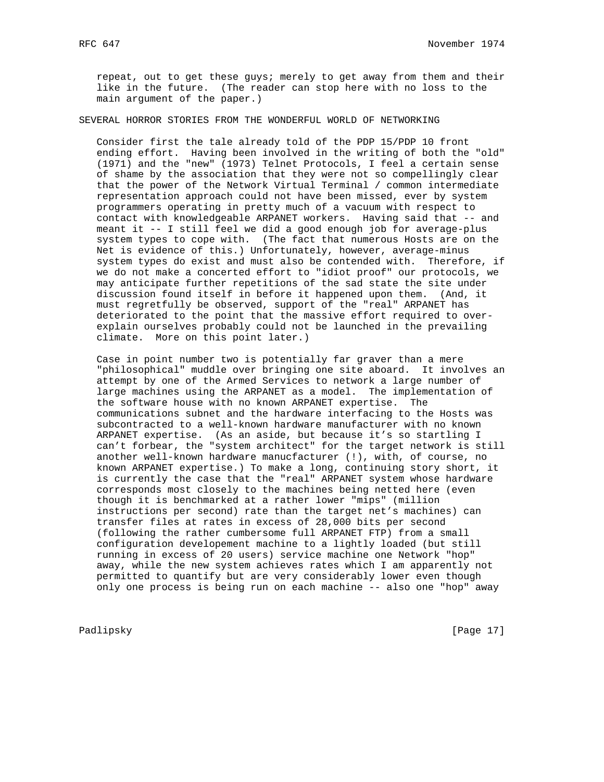repeat, out to get these guys; merely to get away from them and their like in the future. (The reader can stop here with no loss to the main argument of the paper.)

SEVERAL HORROR STORIES FROM THE WONDERFUL WORLD OF NETWORKING

 Consider first the tale already told of the PDP 15/PDP 10 front ending effort. Having been involved in the writing of both the "old" (1971) and the "new" (1973) Telnet Protocols, I feel a certain sense of shame by the association that they were not so compellingly clear that the power of the Network Virtual Terminal / common intermediate representation approach could not have been missed, ever by system programmers operating in pretty much of a vacuum with respect to contact with knowledgeable ARPANET workers. Having said that -- and meant it -- I still feel we did a good enough job for average-plus system types to cope with. (The fact that numerous Hosts are on the Net is evidence of this.) Unfortunately, however, average-minus system types do exist and must also be contended with. Therefore, if we do not make a concerted effort to "idiot proof" our protocols, we may anticipate further repetitions of the sad state the site under discussion found itself in before it happened upon them. (And, it must regretfully be observed, support of the "real" ARPANET has deteriorated to the point that the massive effort required to over explain ourselves probably could not be launched in the prevailing climate. More on this point later.)

 Case in point number two is potentially far graver than a mere "philosophical" muddle over bringing one site aboard. It involves an attempt by one of the Armed Services to network a large number of large machines using the ARPANET as a model. The implementation of the software house with no known ARPANET expertise. The communications subnet and the hardware interfacing to the Hosts was subcontracted to a well-known hardware manufacturer with no known ARPANET expertise. (As an aside, but because it's so startling I can't forbear, the "system architect" for the target network is still another well-known hardware manucfacturer (!), with, of course, no known ARPANET expertise.) To make a long, continuing story short, it is currently the case that the "real" ARPANET system whose hardware corresponds most closely to the machines being netted here (even though it is benchmarked at a rather lower "mips" (million instructions per second) rate than the target net's machines) can transfer files at rates in excess of 28,000 bits per second (following the rather cumbersome full ARPANET FTP) from a small configuration developement machine to a lightly loaded (but still running in excess of 20 users) service machine one Network "hop" away, while the new system achieves rates which I am apparently not permitted to quantify but are very considerably lower even though only one process is being run on each machine -- also one "hop" away

Padlipsky [Page 17]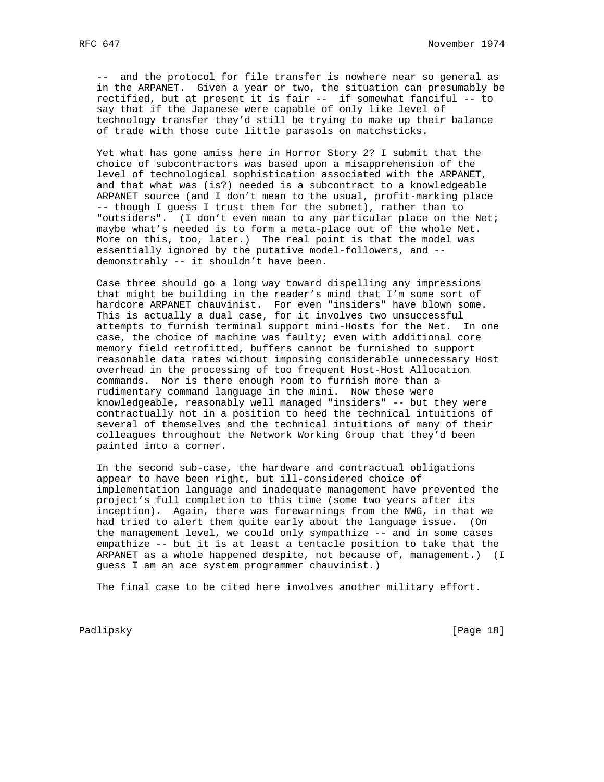-- and the protocol for file transfer is nowhere near so general as in the ARPANET. Given a year or two, the situation can presumably be rectified, but at present it is fair -- if somewhat fanciful -- to say that if the Japanese were capable of only like level of technology transfer they'd still be trying to make up their balance of trade with those cute little parasols on matchsticks.

 Yet what has gone amiss here in Horror Story 2? I submit that the choice of subcontractors was based upon a misapprehension of the level of technological sophistication associated with the ARPANET, and that what was (is?) needed is a subcontract to a knowledgeable ARPANET source (and I don't mean to the usual, profit-marking place -- though I guess I trust them for the subnet), rather than to "outsiders". (I don't even mean to any particular place on the Net; maybe what's needed is to form a meta-place out of the whole Net. More on this, too, later.) The real point is that the model was essentially ignored by the putative model-followers, and - demonstrably -- it shouldn't have been.

 Case three should go a long way toward dispelling any impressions that might be building in the reader's mind that I'm some sort of hardcore ARPANET chauvinist. For even "insiders" have blown some. This is actually a dual case, for it involves two unsuccessful attempts to furnish terminal support mini-Hosts for the Net. In one case, the choice of machine was faulty; even with additional core memory field retrofitted, buffers cannot be furnished to support reasonable data rates without imposing considerable unnecessary Host overhead in the processing of too frequent Host-Host Allocation commands. Nor is there enough room to furnish more than a rudimentary command language in the mini. Now these were knowledgeable, reasonably well managed "insiders" -- but they were contractually not in a position to heed the technical intuitions of several of themselves and the technical intuitions of many of their colleagues throughout the Network Working Group that they'd been painted into a corner.

 In the second sub-case, the hardware and contractual obligations appear to have been right, but ill-considered choice of implementation language and inadequate management have prevented the project's full completion to this time (some two years after its inception). Again, there was forewarnings from the NWG, in that we had tried to alert them quite early about the language issue. (On the management level, we could only sympathize -- and in some cases empathize -- but it is at least a tentacle position to take that the ARPANET as a whole happened despite, not because of, management.) (I guess I am an ace system programmer chauvinist.)

The final case to be cited here involves another military effort.

Padlipsky [Page 18]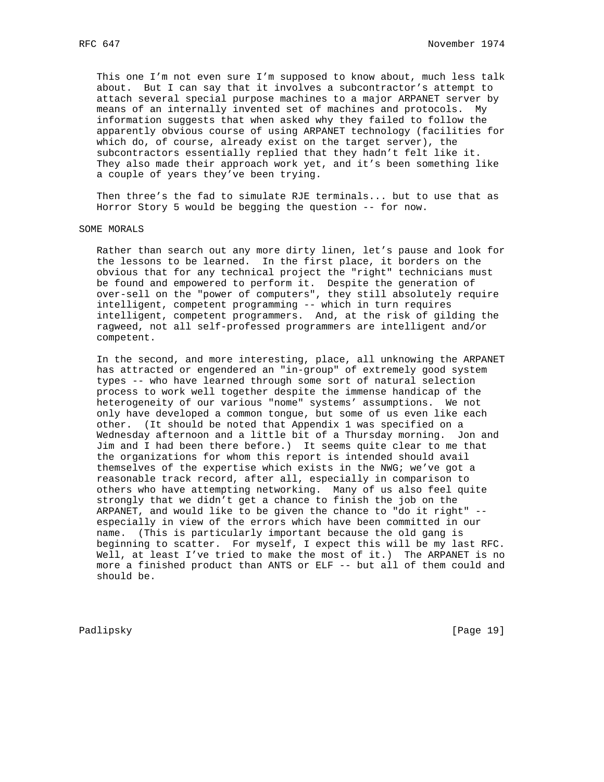This one I'm not even sure I'm supposed to know about, much less talk about. But I can say that it involves a subcontractor's attempt to attach several special purpose machines to a major ARPANET server by means of an internally invented set of machines and protocols. My information suggests that when asked why they failed to follow the apparently obvious course of using ARPANET technology (facilities for which do, of course, already exist on the target server), the subcontractors essentially replied that they hadn't felt like it. They also made their approach work yet, and it's been something like a couple of years they've been trying.

 Then three's the fad to simulate RJE terminals... but to use that as Horror Story 5 would be begging the question -- for now.

## SOME MORALS

 Rather than search out any more dirty linen, let's pause and look for the lessons to be learned. In the first place, it borders on the obvious that for any technical project the "right" technicians must be found and empowered to perform it. Despite the generation of over-sell on the "power of computers", they still absolutely require intelligent, competent programming -- which in turn requires intelligent, competent programmers. And, at the risk of gilding the ragweed, not all self-professed programmers are intelligent and/or competent.

 In the second, and more interesting, place, all unknowing the ARPANET has attracted or engendered an "in-group" of extremely good system types -- who have learned through some sort of natural selection process to work well together despite the immense handicap of the heterogeneity of our various "nome" systems' assumptions. We not only have developed a common tongue, but some of us even like each other. (It should be noted that Appendix 1 was specified on a Wednesday afternoon and a little bit of a Thursday morning. Jon and Jim and I had been there before.) It seems quite clear to me that the organizations for whom this report is intended should avail themselves of the expertise which exists in the NWG; we've got a reasonable track record, after all, especially in comparison to others who have attempting networking. Many of us also feel quite strongly that we didn't get a chance to finish the job on the ARPANET, and would like to be given the chance to "do it right" - especially in view of the errors which have been committed in our name. (This is particularly important because the old gang is beginning to scatter. For myself, I expect this will be my last RFC. Well, at least I've tried to make the most of it.) The ARPANET is no more a finished product than ANTS or ELF -- but all of them could and should be.

Padlipsky [Page 19]